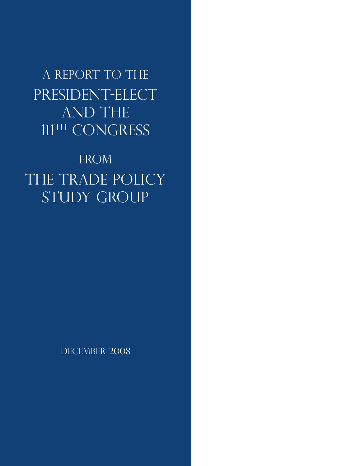A REPORT TO THE PRESIDENT-ELECT AND THE 111TH CONGRESS

## **FROM** THE TRADE POLICY STUDY GROUP

DECEMBER 2008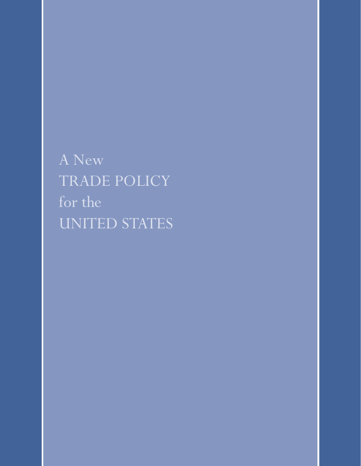A New TRADE POLICY for the UNITED STATES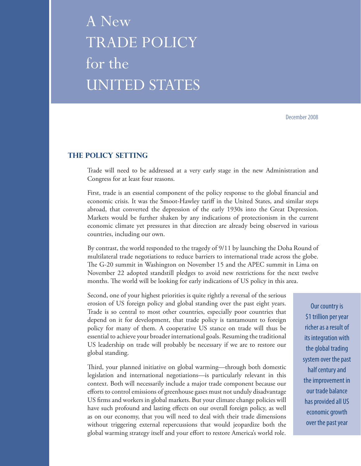# A New TRADE POLICY for the UNITED STATES

December 2008

## **The Policy Setting**

 Trade will need to be addressed at a very early stage in the new Administration and Congress for at least four reasons.

 First, trade is an essential component of the policy response to the global financial and economic crisis. It was the Smoot-Hawley tariff in the United States, and similar steps abroad, that converted the depression of the early 1930s into the Great Depression. Markets would be further shaken by any indications of protectionism in the current economic climate yet pressures in that direction are already being observed in various countries, including our own.

 By contrast, the world responded to the tragedy of 9/11 by launching the Doha Round of multilateral trade negotiations to reduce barriers to international trade across the globe. The G-20 summit in Washington on November 15 and the APEC summit in Lima on November 22 adopted standstill pledges to avoid new restrictions for the next twelve months. The world will be looking for early indications of US policy in this area.

 Second, one of your highest priorities is quite rightly a reversal of the serious erosion of US foreign policy and global standing over the past eight years. Trade is so central to most other countries, especially poor countries that depend on it for development, that trade policy is tantamount to foreign policy for many of them. A cooperative US stance on trade will thus be essential to achieve your broader international goals. Resuming the traditional US leadership on trade will probably be necessary if we are to restore our global standing.

 Third, your planned initiative on global warming—through both domestic legislation and international negotiations—is particularly relevant in this context. Both will necessarily include a major trade component because our efforts to control emissions of greenhouse gases must not unduly disadvantage US firms and workers in global markets. But your climate change policies will have such profound and lasting effects on our overall foreign policy, as well as on our economy, that you will need to deal with their trade dimensions without triggering external repercussions that would jeopardize both the global warming strategy itself and your effort to restore America's world role.

Our country is \$1 trillion per year richer as a result of its integration with the global trading system over the past half century and the improvement in our trade balance has provided all US economic growth over the past year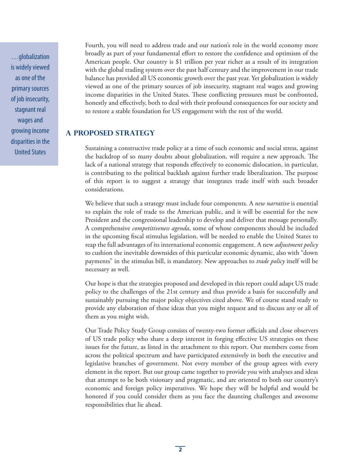…globalization is widely viewed as one of the primary sources of job insecurity, stagnant real wages and growing income disparities in the United States

 Fourth, you will need to address trade and our nation's role in the world economy more broadly as part of your fundamental effort to restore the confidence and optimism of the American people. Our country is \$1 trillion per year richer as a result of its integration with the global trading system over the past half century and the improvement in our trade balance has provided all US economic growth over the past year. Yet globalization is widely viewed as one of the primary sources of job insecurity, stagnant real wages and growing income disparities in the United States. These conflicting pressures must be confronted, honestly and effectively, both to deal with their profound consequences for our society and to restore a stable foundation for US engagement with the rest of the world.

## **A Proposed Strategy**

 Sustaining a constructive trade policy at a time of such economic and social stress, against the backdrop of so many doubts about globalization, will require a new approach. The lack of a national strategy that responds effectively to economic dislocation, in particular, is contributing to the political backlash against further trade liberalization. The purpose of this report is to suggest a strategy that integrates trade itself with such broader considerations.

We believe that such a strategy must include four components. A *new narrative* is essential to explain the role of trade to the American public, and it will be essential for the new President and the congressional leadership to develop and deliver that message personally. A comprehensive *competitiveness agenda*, some of whose components should be included in the upcoming fiscal stimulus legislation, will be needed to enable the United States to reap the full advantages of its international economic engagement. A new *adjustment policy* to cushion the inevitable downsides of this particular economic dynamic, also with "down payments" in the stimulus bill, is mandatory. New approaches to *trade policy* itself will be necessary as well.

 Our hope is that the strategies proposed and developed in this report could adapt US trade policy to the challenges of the 21st century and thus provide a basis for successfully and sustainably pursuing the major policy objectives cited above. We of course stand ready to provide any elaboration of these ideas that you might request and to discuss any or all of them as you might wish.

 Our Trade Policy Study Group consists of twenty-two former officials and close observers of US trade policy who share a deep interest in forging effective US strategies on these issues for the future, as listed in the attachment to this report. Our members come from across the political spectrum and have participated extensively in both the executive and legislative branches of government. Not every member of the group agrees with every element in the report. But our group came together to provide you with analyses and ideas that attempt to be both visionary and pragmatic, and are oriented to both our country's economic and foreign policy imperatives. We hope they will be helpful and would be honored if you could consider them as you face the daunting challenges and awesome responsibilities that lie ahead.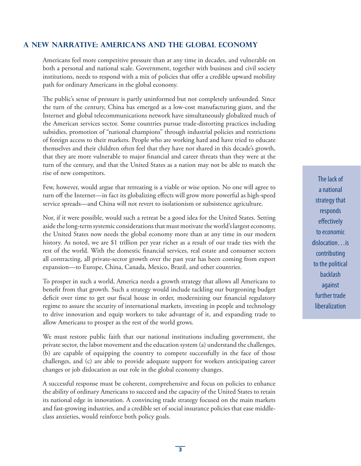## **A New Narrative: Americans and the Global Economy**

 Americans feel more competitive pressure than at any time in decades, and vulnerable on both a personal and national scale. Government, together with business and civil society institutions, needs to respond with a mix of policies that offer a credible upward mobility path for ordinary Americans in the global economy.

 The public's sense of pressure is partly uninformed but not completely unfounded. Since the turn of the century, China has emerged as a low-cost manufacturing giant, and the Internet and global telecommunications network have simultaneously globalized much of the American services sector. Some countries pursue trade-distorting practices including subsidies, promotion of "national champions" through industrial policies and restrictions of foreign access to their markets. People who are working hard and have tried to educate themselves and their children often feel that they have not shared in this decade's growth, that they are more vulnerable to major financial and career threats than they were at the turn of the century, and that the United States as a nation may not be able to match the rise of new competitors.

 Few, however, would argue that retreating is a viable or wise option. No one will agree to turn off the Internet—in fact its globalizing effects will grow more powerful as high-speed service spreads—and China will not revert to isolationism or subsistence agriculture.

 Nor, if it were possible, would such a retreat be a good idea for the United States. Setting aside the long-term systemic considerations that must motivate the world's largest economy, the United States now needs the global economy more than at any time in our modern history. As noted, we are \$1 trillion per year richer as a result of our trade ties with the rest of the world. With the domestic financial services, real estate and consumer sectors all contracting, all private-sector growth over the past year has been coming from export expansion—to Europe, China, Canada, Mexico, Brazil, and other countries.

 To prosper in such a world, America needs a growth strategy that allows all Americans to benefit from that growth. Such a strategy would include tackling our burgeoning budget deficit over time to get our fiscal house in order, modernizing our financial regulatory regime to assure the security of international markets, investing in people and technology to drive innovation and equip workers to take advantage of it, and expanding trade to allow Americans to prosper as the rest of the world grows.

 We must restore public faith that our national institutions including government, the private sector, the labor movement and the education system (a) understand the challenges, (b) are capable of equipping the country to compete successfully in the face of those challenges, and (c) are able to provide adequate support for workers anticipating career changes or job dislocation as our role in the global economy changes.

 A successful response must be coherent, comprehensive and focus on policies to enhance the ability of ordinary Americans to succeed and the capacity of the United States to retain its national edge in innovation. A convincing trade strategy focused on the main markets and fast-growing industries, and a credible set of social insurance policies that ease middleclass anxieties, would reinforce both policy goals.

The lack of a national strategy that responds effectively to economic dislocation…is contributing to the political backlash against further trade liberalization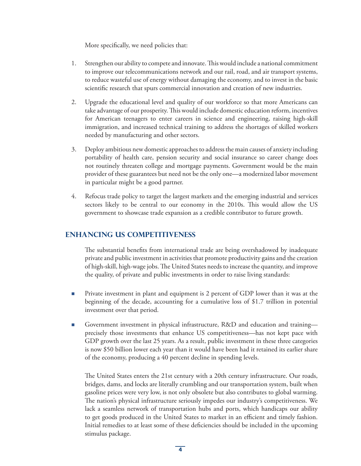More specifically, we need policies that:

- 1. Strengthen our ability to compete and innovate.Thiswould include a national commitment to improve our telecommunications network and our rail, road, and air transport systems, to reduce wasteful use of energy without damaging the economy, and to invest in the basic scientific research that spurs commercial innovation and creation of new industries.
- 2. Upgrade the educational level and quality of our workforce so that more Americans can take advantage of our prosperity.This would include domestic education reform, incentives for American teenagers to enter careers in science and engineering, raising high-skill immigration, and increased technical training to address the shortages of skilled workers needed by manufacturing and other sectors.
- 3. Deploy ambitious new domestic approaches to address the main causes of anxiety including portability of health care, pension security and social insurance so career change does not routinely threaten college and mortgage payments. Government would be the main provider of these guarantees but need not be the only one—a modernized labor movement in particular might be a good partner.
- 4. Refocus trade policy to target the largest markets and the emerging industrial and services sectors likely to be central to our economy in the 2010s. This would allow the US government to showcase trade expansion as a credible contributor to future growth.

## **Enhancing US Competitiveness**

 The substantial benefits from international trade are being overshadowed by inadequate private and public investment in activities that promote productivity gains and the creation of high-skill, high-wage jobs. The United States needs to increase the quantity, and improve the quality, of private and public investments in order to raise living standards:

- Private investment in plant and equipment is 2 percent of GDP lower than it was at the beginning of the decade, accounting for a cumulative loss of \$1.7 trillion in potential investment over that period.
- Government investment in physical infrastructure,  $R\&D$  and education and training precisely those investments that enhance US competitiveness—has not kept pace with GDP growth over the last 25 years. As a result, public investment in these three categories is now \$50 billion lower each year than it would have been had it retained its earlier share of the economy, producing a 40 percent decline in spending levels.

 The United States enters the 21st century with a 20th century infrastructure. Our roads, bridges, dams, and locks are literally crumbling and our transportation system, built when gasoline prices were very low, is not only obsolete but also contributes to global warming. The nation's physical infrastructure seriously impedes our industry's competitiveness. We lack a seamless network of transportation hubs and ports, which handicaps our ability to get goods produced in the United States to market in an efficient and timely fashion. Initial remedies to at least some of these deficiencies should be included in the upcoming stimulus package.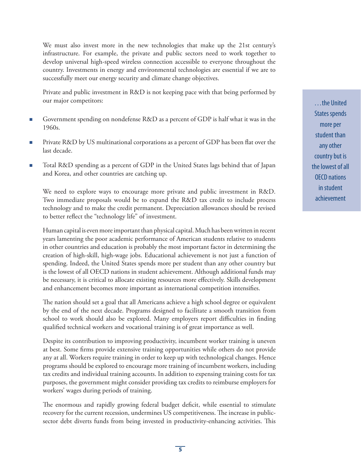We must also invest more in the new technologies that make up the 21st century's infrastructure. For example, the private and public sectors need to work together to develop universal high-speed wireless connection accessible to everyone throughout the country. Investments in energy and environmental technologies are essential if we are to successfully meet our energy security and climate change objectives.

 Private and public investment in R&D is not keeping pace with that being performed by our major competitors:

- Government spending on nondefense R&D as a percent of GDP is half what it was in the 1960s.
- Private R&D by US multinational corporations as a percent of GDP has been flat over the last decade.
- Total R&D spending as a percent of GDP in the United States lags behind that of Japan and Korea, and other countries are catching up.

 We need to explore ways to encourage more private and public investment in R&D. Two immediate proposals would be to expand the R&D tax credit to include process technology and to make the credit permanent. Depreciation allowances should be revised to better reflect the "technology life" of investment.

Human capital is even more important than physical capital. Much has been written in recent years lamenting the poor academic performance of American students relative to students in other countries and education is probably the most important factor in determining the creation of high-skill, high-wage jobs. Educational achievement is not just a function of spending. Indeed, the United States spends more per student than any other country but is the lowest of all OECD nations in student achievement. Although additional funds may be necessary, it is critical to allocate existing resources more effectively. Skills development and enhancement becomes more important as international competition intensifies.

 The nation should set a goal that all Americans achieve a high school degree or equivalent by the end of the next decade. Programs designed to facilitate a smooth transition from school to work should also be explored. Many employers report difficulties in finding qualified technical workers and vocational training is of great importance as well.

 Despite its contribution to improving productivity, incumbent worker training is uneven at best. Some firms provide extensive training opportunities while others do not provide any at all. Workers require training in order to keep up with technological changes. Hence programs should be explored to encourage more training of incumbent workers, including tax credits and individual training accounts. In addition to expensing training costs for tax purposes, the government might consider providing tax credits to reimburse employers for workers' wages during periods of training.

 The enormous and rapidly growing federal budget deficit, while essential to stimulate recovery for the current recession, undermines US competitiveness. The increase in publicsector debt diverts funds from being invested in productivity-enhancing activities. This

…the United States spends more per student than any other country but is the lowest of all OECD nations in student achievement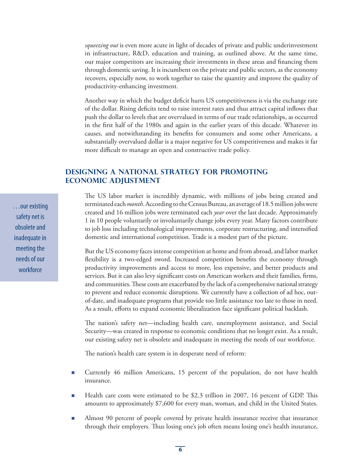*squeezing out* is even more acute in light of decades of private and public underinvestment in infrastructure, R&D, education and training, as outlined above. At the same time, our major competitors are increasing their investments in these areas and financing them through domestic saving. It is incumbent on the private and public sectors, as the economy recovers, especially now, to work together to raise the quantity and improve the quality of productivity-enhancing investment.

 Another way in which the budget deficit hurts US competitiveness is via the exchange rate of the dollar. Rising deficits tend to raise interest rates and thus attract capital inflows that push the dollar to levels that are overvalued in terms of our trade relationships, as occurred in the first half of the 1980s and again in the earlier years of this decade. Whatever its causes, and notwithstanding its benefits for consumers and some other Americans, a substantially overvalued dollar is a major negative for US competitiveness and makes it far more difficult to manage an open and constructive trade policy.

## **Designing a National Strategy for Promoting Economic Adjustment**

…our existing safety net is obsolete and inadequate in meeting the needs of our workforce

 The US labor market is incredibly dynamic, with millions of jobs being created and terminatedeach*month*.According to theCensusBureau, anaverage of18.5millionjobswere created and 16 million jobs were terminated each *year* over the last decade. Approximately 1 in 10 people voluntarily or involuntarily change jobs every year. Many factors contribute to job loss including technological improvements, corporate restructuring, and intensified domestic and international competition. Trade is a modest part of the picture.

 But the US economy faces intense competition at home and from abroad, and labor market flexibility is a two-edged sword. Increased competition benefits the economy through productivity improvements and access to more, less expensive, and better products and services. But it can also levy significant costs on American workers and their families, firms, and communities. These costs are exacerbated by the lack of a comprehensive national strategy to prevent and reduce economic disruptions. We currently have a collection of ad hoc, outof-date, and inadequate programs that provide too little assistance too late to those in need. As a result, efforts to expand economic liberalization face significant political backlash.

 The nation's safety net—including health care, unemployment assistance, and Social Security—was created in response to economic conditions that no longer exist. As a result, our existing safety net is obsolete and inadequate in meeting the needs of our workforce.

 The nation's health care system is in desperate need of reform:

- Currently 46 million Americans, 15 percent of the population, do not have health insurance.
- Health care costs were estimated to be \$2.3 trillion in 2007, 16 percent of GDP. This amounts to approximately \$7,600 for every man, woman, and child in the United States.
- Almost 90 percent of people covered by private health insurance receive that insurance through their employers. Thus losing one's job often means losing one's health insurance,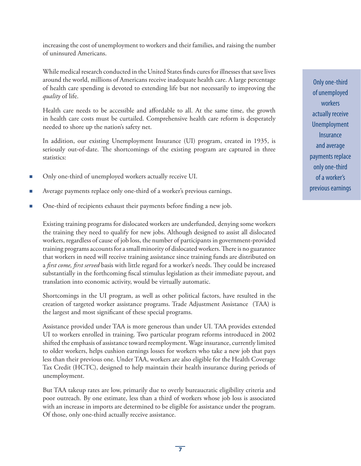increasing the cost of unemployment to workers and their families, and raising the number of uninsured Americans.

While medical research conducted in the United States finds cures for illnesses that save lives around the world, millions of Americans receive inadequate health care. A large percentage of health care spending is devoted to extending life but not necessarily to improving the *quality* of life.

 Health care needs to be accessible and affordable to all. At the same time, the growth in health care costs must be curtailed. Comprehensive health care reform is desperately needed to shore up the nation's safety net.

 In addition, our existing Unemployment Insurance (UI) program, created in 1935, is seriously out-of-date. The shortcomings of the existing program are captured in three statistics:

- Only one-third of unemployed workers actually receive UI.
- Average payments replace only one-third of a worker's previous earnings.
- One-third of recipients exhaust their payments before finding a new job.

 Existing training programs for dislocated workers are underfunded, denying some workers the training they need to qualify for new jobs. Although designed to assist all dislocated workers, regardless of cause of job loss, the number of participants in government-provided training programs accounts for a small minority of dislocated workers. There is no guarantee that workers in need will receive training assistance since training funds are distributed on a *first come, first served* basis with little regard for a worker's needs. They could be increased substantially in the forthcoming fiscal stimulus legislation as their immediate payout, and translation into economic activity, would be virtually automatic.

 Shortcomings in the UI program, as well as other political factors, have resulted in the creation of targeted worker assistance programs. Trade Adjustment Assistance (TAA) is the largest and most significant of these special programs.

 Assistance provided under TAA is more generous than under UI. TAA provides extended UI to workers enrolled in training. Two particular program reforms introduced in 2002 shifted the emphasis of assistance toward reemployment. Wage insurance, currently limited to older workers, helps cushion earnings losses for workers who take a new job that pays less than their previous one. Under TAA, workers are also eligible for the Health Coverage Tax Credit (HCTC), designed to help maintain their health insurance during periods of unemployment.

But TAA takeup rates are low, primarily due to overly bureaucratic eligibility criteria and poor outreach. By one estimate, less than a third of workers whose job loss is associated with an increase in imports are determined to be eligible for assistance under the program. Of those, only one-third actually receive assistance.

Only one-third of unemployed workers actually receive Unemployment **Insurance** and average payments replace only one-third of a worker's previous earnings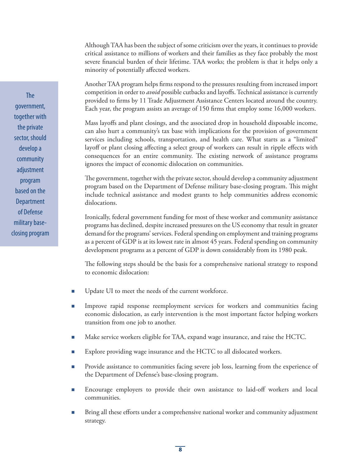Although TAA has been the subject of some criticism over the years, it continues to provide critical assistance to millions of workers and their families as they face probably the most severe financial burden of their lifetime. TAA works; the problem is that it helps only a minority of potentially affected workers.

 AnotherTAA program helps firms respond to the pressures resulting from increased import competition in order to *avoid* possible cutbacks and layoffs. Technical assistance is currently provided to firms by 11 Trade Adjustment Assistance Centers located around the country. Each year, the program assists an average of 150 firms that employ some 16,000 workers.

 Mass layoffs and plant closings, and the associated drop in household disposable income, can also hurt a community's tax base with implications for the provision of government services including schools, transportation, and health care. What starts as a "limited" layoff or plant closing affecting a select group of workers can result in ripple effects with consequences for an entire community. The existing network of assistance programs ignores the impact of economic dislocation on communities.

The government, together with the private sector, should develop a community adjustment program based on the Department of Defense military base-closing program. This might include technical assistance and modest grants to help communities address economic dislocations.

Ironically, federal government funding for most of these worker and community assistance programs has declined, despite increased pressures on the US economy that result in greater demand for the programs' services. Federal spending on employment and training programs as a percent of GDP is at its lowest rate in almost 45 years. Federal spending on community development programs as a percent of GDP is down considerably from its 1980 peak.

 The following steps should be the basis for a comprehensive national strategy to respond to economic dislocation:

- Update UI to meet the needs of the current workforce.
- Improve rapid response reemployment services for workers and communities facing economic dislocation, as early intervention is the most important factor helping workers transition from one job to another.
- n Make service workers eligible for TAA, expand wage insurance, and raise the HCTC.
- Explore providing wage insurance and the HCTC to all dislocated workers.
- n Provide assistance to communities facing severe job loss, learning from the experience of the Department of Defense's base-closing program.
- **n** Encourage employers to provide their own assistance to laid-off workers and local communities.
- Bring all these efforts under a comprehensive national worker and community adjustment strategy.

The government, together with the private sector, should develop a community adjustment program based on the **Department** of Defense military baseclosing program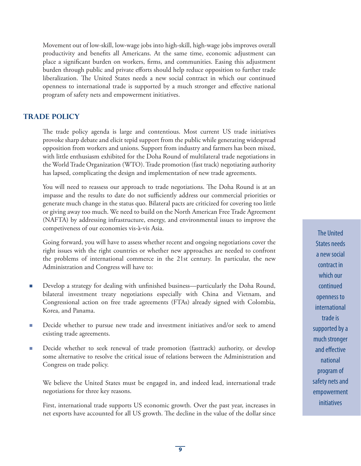Movement out of low-skill, low-wage jobs into high-skill, high-wage jobs improves overall productivity and benefits all Americans. At the same time, economic adjustment can place a significant burden on workers, firms, and communities. Easing this adjustment burden through public and private efforts should help reduce opposition to further trade liberalization. The United States needs a new social contract in which our continued openness to international trade is supported by a much stronger and effective national program of safety nets and empowerment initiatives.

## **Trade Policy**

 The trade policy agenda is large and contentious. Most current US trade initiatives provoke sharp debate and elicit tepid support from the public while generating widespread opposition from workers and unions. Support from industry and farmers has been mixed, with little enthusiasm exhibited for the Doha Round of multilateral trade negotiations in the World Trade Organization (WTO). Trade promotion (fast track) negotiating authority has lapsed, complicating the design and implementation of new trade agreements.

 You will need to reassess our approach to trade negotiations. The Doha Round is at an impasse and the results to date do not sufficiently address our commercial priorities or generate much change in the status quo. Bilateral pacts are criticized for covering too little or giving away too much. We need to build on the North American Free Trade Agreement (NAFTA) by addressing infrastructure, energy, and environmental issues to improve the competiveness of our economies vis-à-vis Asia.

 Going forward, you will have to assess whether recent and ongoing negotiations cover the right issues with the right countries or whether new approaches are needed to confront the problems of international commerce in the 21st century. In particular, the new Administration and Congress will have to:

- Develop a strategy for dealing with unfinished business—particularly the Doha Round, bilateral investment treaty negotiations especially with China and Vietnam, and Congressional action on free trade agreements (FTAs) already signed with Colombia, Korea, and Panama.
- n Decide whether to pursue new trade and investment initiatives and/or seek to amend existing trade agreements.
- <sup>n</sup> Decide whether to seek renewal of trade promotion (fasttrack) authority, or develop some alternative to resolve the critical issue of relations between the Administration and Congress on trade policy.

 We believe the United States must be engaged in, and indeed lead, international trade negotiations for three key reasons.

 First, international trade supports US economic growth. Over the past year, increases in net exports have accounted for all US growth. The decline in the value of the dollar since

The United States needs a new social contract in which our continued openness to international trade is supported by a much stronger and effective national program of safety nets and empowerment initiatives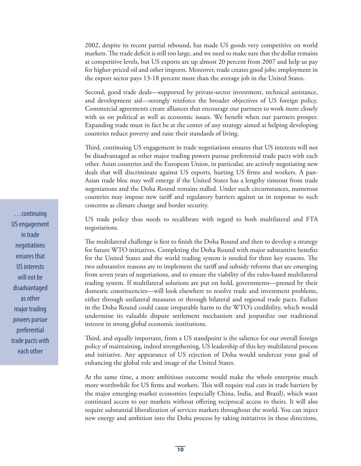2002, despite its recent partial rebound, has made US goods very competitive on world markets. The trade deficit is still too large, and we need to make sure that the dollar remains at competitive levels, but US exports are up almost 20 percent from 2007 and help us pay for higher-priced oil and other imports. Moreover, trade creates good jobs; employment in the export sector pays 13-18 percent more than the average job in the United States.

 Second, good trade deals—supported by private-sector investment, technical assistance, and development aid—strongly reinforce the broader objectives of US foreign policy. Commercial agreements create alliances that encourage our partners to work more closely with us on political as well as economic issues. We benefit when our partners prosper. Expanding trade must in fact be at the center of any strategy aimed at helping developing countries reduce poverty and raise their standards of living.

 Third, continuing US engagement in trade negotiations ensures that US interests will not be disadvantaged as other major trading powers pursue preferential trade pacts with each other. Asian countries and the European Union, in particular, are actively negotiating new deals that will discriminate against US exports, hurting US firms and workers. A pan-Asian trade bloc may well emerge if the United States has a lengthy timeout from trade negotiations and the Doha Round remains stalled. Under such circumstances, numerous countries may impose new tariff and regulatory barriers against us in response to such concerns as climate change and border security.

 US trade policy thus needs to recalibrate with regard to both multilateral and FTA negotiations.

The multilateral challenge is first to finish the Doha Round and then to develop a strategy for future WTO initiatives. Completing the Doha Round with major substantive benefits for the United States and the world trading system is needed for three key reasons. The two substantive reasons are to implement the tariff and subsidy reforms that are emerging from seven years of negotiations, and to ensure the viability of the rules-based multilateral trading system. If multilateral solutions are put on hold, governments—pressed by their domestic constituencies—will look elsewhere to resolve trade and investment problems, either through unilateral measures or through bilateral and regional trade pacts. Failure in the Doha Round could cause irreparable harm to the WTO's credibility, which would undermine its valuable dispute settlement mechanism and jeopardize our traditional interest in strong global economic institutions.

 Third, and equally important, from a US standpoint is the salience for our overall foreign policy of maintaining, indeed strengthening, US leadership of this key multilateral process and initiative. Any appearance of US rejection of Doha would undercut your goal of enhancing the global role and image of the United States.

 At the same time, a more ambitious outcome would make the whole enterprise much more worthwhile for US firms and workers. This will require real cuts in trade barriers by the major emerging-market economies (especially China, India, and Brazil), which want continued access to our markets without offering reciprocal access to theirs. It will also require substantial liberalization of services markets throughout the world. You can inject new energy and ambition into the Doha process by taking initiatives in these directions,

…continuing US engagement in trade negotiations ensures that US interests will not be disadvantaged as other major trading powers pursue preferential trade pacts with each other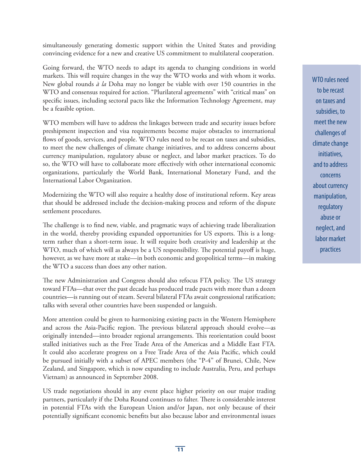simultaneously generating domestic support within the United States and providing convincing evidence for a new and creative US commitment to multilateral cooperation.

 Going forward, the WTO needs to adapt its agenda to changing conditions in world markets. This will require changes in the way the WTO works and with whom it works. New global rounds *à la* Doha may no longer be viable with over 150 countries in the WTO and consensus required for action. "Plurilateral agreements" with "critical mass" on specific issues, including sectoral pacts like the Information Technology Agreement, may be a feasible option.

 WTO members will have to address the linkages between trade and security issues before preshipment inspection and visa requirements become major obstacles to international flows of goods, services, and people. WTO rules need to be recast on taxes and subsidies, to meet the new challenges of climate change initiatives, and to address concerns about currency manipulation, regulatory abuse or neglect, and labor market practices. To do so, the WTO will have to collaborate more effectively with other international economic organizations, particularly the World Bank, International Monetary Fund, and the International Labor Organization.

 Modernizing the WTO will also require a healthy dose of institutional reform. Key areas that should be addressed include the decision-making process and reform of the dispute settlement procedures.

 The challenge is to find new, viable, and pragmatic ways of achieving trade liberalization in the world, thereby providing expanded opportunities for US exports. This is a longterm rather than a short-term issue. It will require both creativity and leadership at the WTO, much of which will as always be a US responsibility. The potential payoff is huge, however, as we have more at stake—in both economic and geopolitical terms—in making the WTO a success than does any other nation.

 The new Administration and Congress should also refocus FTA policy. The US strategy toward FTAs—that over the past decade has produced trade pacts with more than a dozen countries—is running out of steam. Several bilateral FTAs await congressional ratification; talks with several other countries have been suspended or languish.

 More attention could be given to harmonizing existing pacts in the Western Hemisphere and across the Asia-Pacific region. The previous bilateral approach should evolve—as originally intended—into broader regional arrangements. This reorientation could boost stalled initiatives such as the Free Trade Area of the Americas and a Middle East FTA. It could also accelerate progress on a Free Trade Area of the Asia Pacific, which could be pursued initially with a subset of APEC members (the "P-4" of Brunei, Chile, New Zealand, and Singapore, which is now expanding to include Australia, Peru, and perhaps Vietnam) as announced in September 2008.

 US trade negotiations should in any event place higher priority on our major trading partners, particularly if the Doha Round continues to falter. There is considerable interest in potential FTAs with the European Union and/or Japan, not only because of their potentially significant economic benefits but also because labor and environmental issues

WTO rules need to be recast on taxes and subsidies, to meet the new challenges of climate change initiatives, and to address concerns about currency manipulation, regulatory abuse or neglect, and labor market practices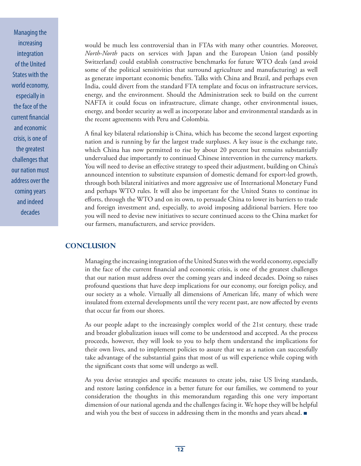Managing the increasing integration of the United States with the world economy, especially in the face of the current financial and economic crisis, is one of the greatest challenges that our nation must address over the coming years and indeed decades

would be much less controversial than in FTAs with many other countries. Moreover, *North-North* pacts on services with Japan and the European Union (and possibly Switzerland) could establish constructive benchmarks for future WTO deals (and avoid some of the political sensitivities that surround agriculture and manufacturing) as well as generate important economic benefits. Talks with China and Brazil, and perhaps even India, could divert from the standard FTA template and focus on infrastructure services, energy, and the environment. Should the Administration seek to build on the current NAFTA it could focus on infrastructure, climate change, other environmental issues, energy, and border security as well as incorporate labor and environmental standards as in the recent agreements with Peru and Colombia.

 A final key bilateral relationship is China, which has become the second largest exporting nation and is running by far the largest trade surpluses. A key issue is the exchange rate, which China has now permitted to rise by about 20 percent but remains substantially undervalued due importantly to continued Chinese intervention in the currency markets. You will need to devise an effective strategy to speed their adjustment, building on China's announced intention to substitute expansion of domestic demand for export-led growth, through both bilateral initiatives and more aggressive use of International Monetary Fund and perhaps WTO rules. It will also be important for the United States to continue its efforts, through the WTO and on its own, to persuade China to lower its barriers to trade and foreign investment and, especially, to avoid imposing additional barriers. Here too you will need to devise new initiatives to secure continued access to the China market for our farmers, manufacturers, and service providers.

### **Conclusion**

 Managing theincreasing integration oftheUnited Stateswith theworld economy,especially in the face of the current financial and economic crisis, is one of the greatest challenges that our nation must address over the coming years and indeed decades. Doing so raises profound questions that have deep implications for our economy, our foreign policy, and our society as a whole. Virtually all dimensions of American life, many of which were insulated from external developments until the very recent past, are now affected by events that occur far from our shores.

 As our people adapt to the increasingly complex world of the 21st century, these trade and broader globalization issues will come to be understood and accepted. As the process proceeds, however, they will look to you to help them understand the implications for their own lives, and to implement policies to assure that we as a nation can successfully take advantage of the substantial gains that most of us will experience while coping with the significant costs that some will undergo as well.

 As you devise strategies and specific measures to create jobs, raise US living standards, and restore lasting confidence in a better future for our families, we commend to your consideration the thoughts in this memorandum regarding this one very important dimension of our national agenda and the challenges facing it. We hopethey will be helpful and wish you the best of success in addressing them in the months and years ahead.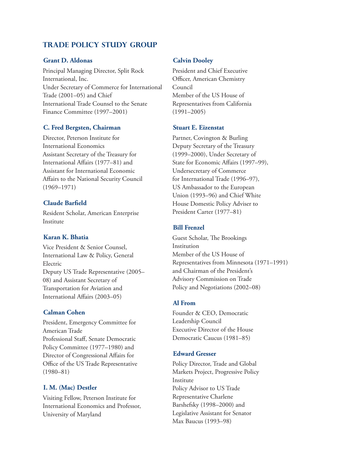## **Trade Policy Study Group**

#### **Grant D. Aldonas**

Principal Managing Director, Split Rock International, Inc. Under Secretary of Commerce for International Trade (2001–05) and Chief International Trade Counsel to the Senate Finance Committee (1997–2001)

#### **C. Fred Bergsten, Chairman**

Director, Peterson Institute for International Economics Assistant Secretary of the Treasury for International Affairs (1977–81) and Assistant for International Economic Affairs to the National Security Council (1969–1971)

#### **Claude Barfield**

Resident Scholar, American Enterprise Institute

#### **Karan K. Bhatia**

Vice President & Senior Counsel, International Law & Policy, General Electric Deputy US Trade Representative (2005– 08) and Assistant Secretary of Transportation for Aviation and International Affairs (2003–05)

#### **Calman Cohen**

President, Emergency Committee for American Trade Professional Staff, Senate Democratic Policy Committee (1977–1980) and Director of Congressional Affairs for Office of the US Trade Representative (1980–81)

#### **I. M. (Mac) Destler**

Visiting Fellow, Peterson Institute for International Economics and Professor, University of Maryland

#### **Calvin Dooley**

President and Chief Executive Officer, American Chemistry Council Member of the US House of Representatives from California (1991–2005)

#### **Stuart E. Eizenstat**

Partner, Covington & Burling Deputy Secretary of the Treasury (1999–2000), Under Secretary of State for Economic Affairs (1997–99), Undersecretary of Commerce for International Trade (1996–97), US Ambassador to the European Union (1993–96) and Chief White House Domestic Policy Adviser to President Carter (1977–81)

#### **Bill Frenzel**

Guest Scholar, The Brookings Institution Member of the US House of Representatives from Minnesota (1971–1991) and Chairman of the President's Advisory Commission on Trade Policy and Negotiations (2002–08)

#### **Al From**

Founder & CEO, Democratic Leadership Council Executive Director of the House Democratic Caucus (1981–85)

#### **Edward Gresser**

Policy Director, Trade and Global Markets Project, Progressive Policy Institute Policy Advisor to US Trade Representative Charlene Barshefsky (1998–2000) and Legislative Assistant for Senator Max Baucus (1993–98)